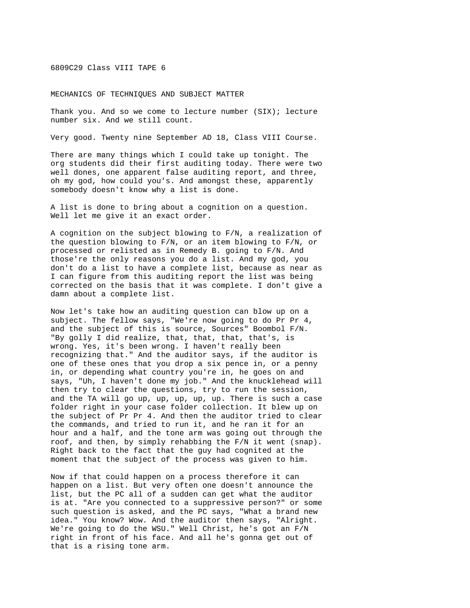## 6809C29 Class VIII TAPE 6

MECHANICS OF TECHNIQUES AND SUBJECT MATTER

Thank you. And so we come to lecture number (SIX); lecture number six. And we still count.

Very good. Twenty nine September AD 18, Class VIII Course.

There are many things which I could take up tonight. The org students did their first auditing today. There were two well dones, one apparent false auditing report, and three, oh my god, how could you's. And amongst these, apparently somebody doesn't know why a list is done.

A list is done to bring about a cognition on a question. Well let me give it an exact order.

A cognition on the subject blowing to F/N, a realization of the question blowing to F/N, or an item blowing to F/N, or processed or relisted as in Remedy B. going to F/N. And those're the only reasons you do a list. And my god, you don't do a list to have a complete list, because as near as I can figure from this auditing report the list was being corrected on the basis that it was complete. I don't give a damn about a complete list.

Now let's take how an auditing question can blow up on a subject. The fellow says, "We're now going to do Pr Pr 4, and the subject of this is source, Sources" Boombol F/N. "By golly I did realize, that, that, that, that's, is wrong. Yes, it's been wrong. I haven't really been recognizing that." And the auditor says, if the auditor is one of these ones that you drop a six pence in, or a penny in, or depending what country you're in, he goes on and says, "Uh, I haven't done my job." And the knucklehead will then try to clear the questions, try to run the session, and the TA will go up, up, up, up, up. There is such a case folder right in your case folder collection. It blew up on the subject of Pr Pr 4. And then the auditor tried to clear the commands, and tried to run it, and he ran it for an hour and a half, and the tone arm was going out through the roof, and then, by simply rehabbing the F/N it went (snap). Right back to the fact that the guy had cognited at the moment that the subject of the process was given to him.

Now if that could happen on a process therefore it can happen on a list. But very often one doesn't announce the list, but the PC all of a sudden can get what the auditor is at. "Are you connected to a suppressive person?" or some such question is asked, and the PC says, "What a brand new idea." You know? Wow. And the auditor then says, "Alright. We're going to do the WSU." Well Christ, he's got an F/N right in front of his face. And all he's gonna get out of that is a rising tone arm.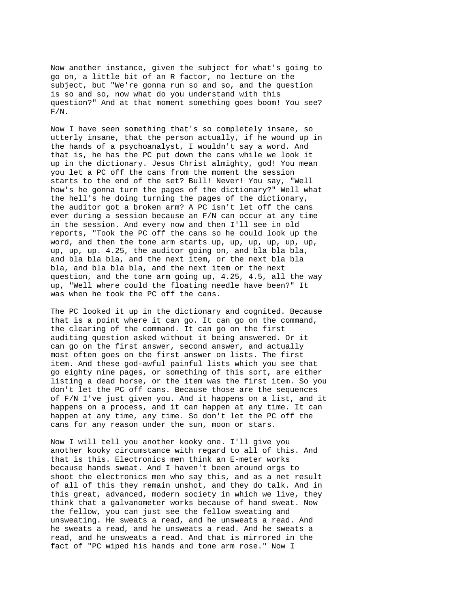Now another instance, given the subject for what's going to go on, a little bit of an R factor, no lecture on the subject, but "We're gonna run so and so, and the question is so and so, now what do you understand with this question?" And at that moment something goes boom! You see? F/N.

Now I have seen something that's so completely insane, so utterly insane, that the person actually, if he wound up in the hands of a psychoanalyst, I wouldn't say a word. And that is, he has the PC put down the cans while we look it up in the dictionary. Jesus Christ almighty, god! You mean you let a PC off the cans from the moment the session starts to the end of the set? Bull! Never! You say, "Well how's he gonna turn the pages of the dictionary?" Well what the hell's he doing turning the pages of the dictionary, the auditor got a broken arm? A PC isn't let off the cans ever during a session because an F/N can occur at any time in the session. And every now and then I'll see in old reports, "Took the PC off the cans so he could look up the word, and then the tone arm starts up, up, up, up, up, up, up, up, up. 4.25, the auditor going on, and bla bla bla, and bla bla bla, and the next item, or the next bla bla bla, and bla bla bla, and the next item or the next question, and the tone arm going up, 4.25, 4.5, all the way up, "Well where could the floating needle have been?" It was when he took the PC off the cans.

The PC looked it up in the dictionary and cognited. Because that is a point where it can go. It can go on the command, the clearing of the command. It can go on the first auditing question asked without it being answered. Or it can go on the first answer, second answer, and actually most often goes on the first answer on lists. The first item. And these god-awful painful lists which you see that go eighty nine pages, or something of this sort, are either listing a dead horse, or the item was the first item. So you don't let the PC off cans. Because those are the sequences of F/N I've just given you. And it happens on a list, and it happens on a process, and it can happen at any time. It can happen at any time, any time. So don't let the PC off the cans for any reason under the sun, moon or stars.

Now I will tell you another kooky one. I'll give you another kooky circumstance with regard to all of this. And that is this. Electronics men think an E-meter works because hands sweat. And I haven't been around orgs to shoot the electronics men who say this, and as a net result of all of this they remain unshot, and they do talk. And in this great, advanced, modern society in which we live, they think that a galvanometer works because of hand sweat. Now the fellow, you can just see the fellow sweating and unsweating. He sweats a read, and he unsweats a read. And he sweats a read, and he unsweats a read. And he sweats a read, and he unsweats a read. And that is mirrored in the fact of "PC wiped his hands and tone arm rose." Now I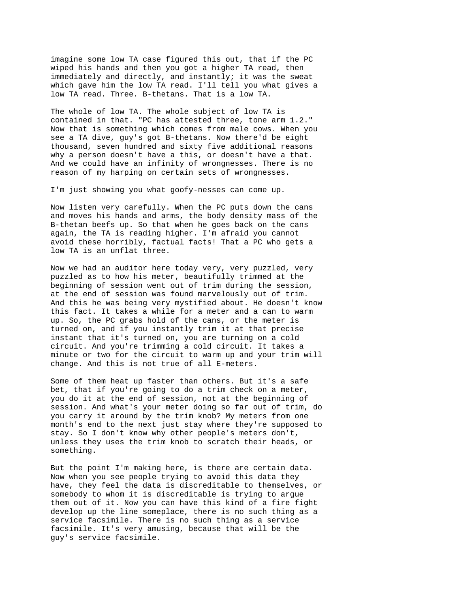imagine some low TA case figured this out, that if the PC wiped his hands and then you got a higher TA read, then immediately and directly, and instantly; it was the sweat which gave him the low TA read. I'll tell you what gives a low TA read. Three. B-thetans. That is a low TA.

The whole of low TA. The whole subject of low TA is contained in that. "PC has attested three, tone arm 1.2." Now that is something which comes from male cows. When you see a TA dive, guy's got B-thetans. Now there'd be eight thousand, seven hundred and sixty five additional reasons why a person doesn't have a this, or doesn't have a that. And we could have an infinity of wrongnesses. There is no reason of my harping on certain sets of wrongnesses.

I'm just showing you what goofy-nesses can come up.

Now listen very carefully. When the PC puts down the cans and moves his hands and arms, the body density mass of the B-thetan beefs up. So that when he goes back on the cans again, the TA is reading higher. I'm afraid you cannot avoid these horribly, factual facts! That a PC who gets a low TA is an unflat three.

Now we had an auditor here today very, very puzzled, very puzzled as to how his meter, beautifully trimmed at the beginning of session went out of trim during the session, at the end of session was found marvelously out of trim. And this he was being very mystified about. He doesn't know this fact. It takes a while for a meter and a can to warm up. So, the PC grabs hold of the cans, or the meter is turned on, and if you instantly trim it at that precise instant that it's turned on, you are turning on a cold circuit. And you're trimming a cold circuit. It takes a minute or two for the circuit to warm up and your trim will change. And this is not true of all E-meters.

Some of them heat up faster than others. But it's a safe bet, that if you're going to do a trim check on a meter, you do it at the end of session, not at the beginning of session. And what's your meter doing so far out of trim, do you carry it around by the trim knob? My meters from one month's end to the next just stay where they're supposed to stay. So I don't know why other people's meters don't, unless they uses the trim knob to scratch their heads, or something.

But the point I'm making here, is there are certain data. Now when you see people trying to avoid this data they have, they feel the data is discreditable to themselves, or somebody to whom it is discreditable is trying to argue them out of it. Now you can have this kind of a fire fight develop up the line someplace, there is no such thing as a service facsimile. There is no such thing as a service facsimile. It's very amusing, because that will be the guy's service facsimile.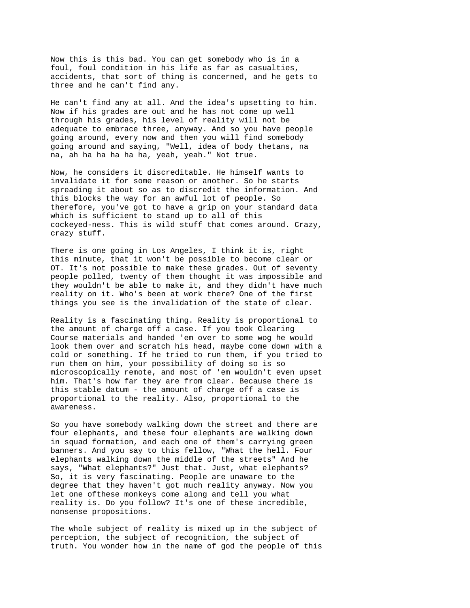Now this is this bad. You can get somebody who is in a foul, foul condition in his life as far as casualties, accidents, that sort of thing is concerned, and he gets to three and he can't find any.

He can't find any at all. And the idea's upsetting to him. Now if his grades are out and he has not come up well through his grades, his level of reality will not be adequate to embrace three, anyway. And so you have people going around, every now and then you will find somebody going around and saying, "Well, idea of body thetans, na na, ah ha ha ha ha ha, yeah, yeah." Not true.

Now, he considers it discreditable. He himself wants to invalidate it for some reason or another. So he starts spreading it about so as to discredit the information. And this blocks the way for an awful lot of people. So therefore, you've got to have a grip on your standard data which is sufficient to stand up to all of this cockeyed-ness. This is wild stuff that comes around. Crazy, crazy stuff.

There is one going in Los Angeles, I think it is, right this minute, that it won't be possible to become clear or OT. It's not possible to make these grades. Out of seventy people polled, twenty of them thought it was impossible and they wouldn't be able to make it, and they didn't have much reality on it. Who's been at work there? One of the first things you see is the invalidation of the state of clear.

Reality is a fascinating thing. Reality is proportional to the amount of charge off a case. If you took Clearing Course materials and handed 'em over to some wog he would look them over and scratch his head, maybe come down with a cold or something. If he tried to run them, if you tried to run them on him, your possibility of doing so is so microscopically remote, and most of 'em wouldn't even upset him. That's how far they are from clear. Because there is this stable datum - the amount of charge off a case is proportional to the reality. Also, proportional to the awareness.

So you have somebody walking down the street and there are four elephants, and these four elephants are walking down in squad formation, and each one of them's carrying green banners. And you say to this fellow, "What the hell. Four elephants walking down the middle of the streets" And he says, "What elephants?" Just that. Just, what elephants? So, it is very fascinating. People are unaware to the degree that they haven't got much reality anyway. Now you let one ofthese monkeys come along and tell you what reality is. Do you follow? It's one of these incredible, nonsense propositions.

The whole subject of reality is mixed up in the subject of perception, the subject of recognition, the subject of truth. You wonder how in the name of god the people of this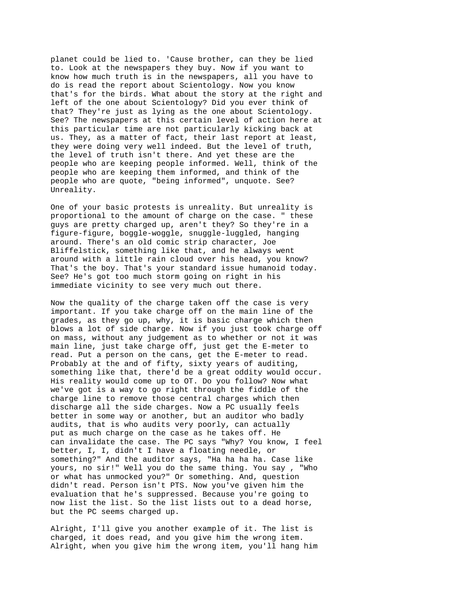planet could be lied to. 'Cause brother, can they be lied to. Look at the newspapers they buy. Now if you want to know how much truth is in the newspapers, all you have to do is read the report about Scientology. Now you know that's for the birds. What about the story at the right and left of the one about Scientology? Did you ever think of that? They're just as lying as the one about Scientology. See? The newspapers at this certain level of action here at this particular time are not particularly kicking back at us. They, as a matter of fact, their last report at least, they were doing very well indeed. But the level of truth, the level of truth isn't there. And yet these are the people who are keeping people informed. Well, think of the people who are keeping them informed, and think of the people who are quote, "being informed", unquote. See? Unreality.

One of your basic protests is unreality. But unreality is proportional to the amount of charge on the case. " these guys are pretty charged up, aren't they? So they're in a figure-figure, boggle-woggle, snuggle-luggled, hanging around. There's an old comic strip character, Joe Bliffelstick, something like that, and he always went around with a little rain cloud over his head, you know? That's the boy. That's your standard issue humanoid today. See? He's got too much storm going on right in his immediate vicinity to see very much out there.

Now the quality of the charge taken off the case is very important. If you take charge off on the main line of the grades, as they go up, why, it is basic charge which then blows a lot of side charge. Now if you just took charge off on mass, without any judgement as to whether or not it was main line, just take charge off, just get the E-meter to read. Put a person on the cans, get the E-meter to read. Probably at the and of fifty, sixty years of auditing, something like that, there'd be a great oddity would occur. His reality would come up to OT. Do you follow? Now what we've got is a way to go right through the fiddle of the charge line to remove those central charges which then discharge all the side charges. Now a PC usually feels better in some way or another, but an auditor who badly audits, that is who audits very poorly, can actually put as much charge on the case as he takes off. He can invalidate the case. The PC says "Why? You know, I feel better, I, I, didn't I have a floating needle, or something?" And the auditor says, "Ha ha ha ha. Case like yours, no sir!" Well you do the same thing. You say , "Who or what has unmocked you?" Or something. And, question didn't read. Person isn't PTS. Now you've given him the evaluation that he's suppressed. Because you're going to now list the list. So the list lists out to a dead horse, but the PC seems charged up.

Alright, I'll give you another example of it. The list is charged, it does read, and you give him the wrong item. Alright, when you give him the wrong item, you'll hang him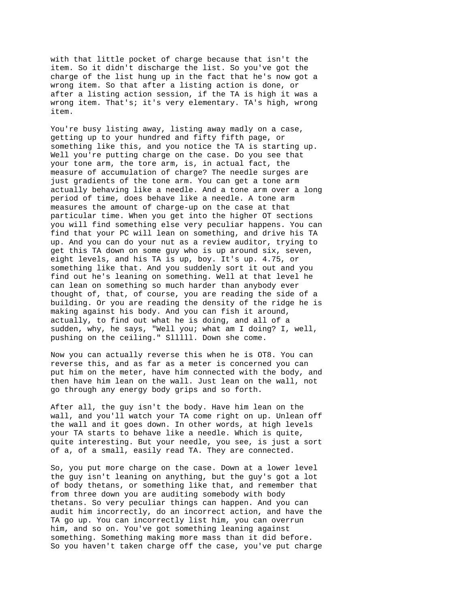with that little pocket of charge because that isn't the item. So it didn't discharge the list. So you've got the charge of the list hung up in the fact that he's now got a wrong item. So that after a listing action is done, or after a listing action session, if the TA is high it was a wrong item. That's; it's very elementary. TA's high, wrong item.

You're busy listing away, listing away madly on a case, getting up to your hundred and fifty fifth page, or something like this, and you notice the TA is starting up. Well you're putting charge on the case. Do you see that your tone arm, the tore arm, is, in actual fact, the measure of accumulation of charge? The needle surges are just gradients of the tone arm. You can get a tone arm actually behaving like a needle. And a tone arm over a long period of time, does behave like a needle. A tone arm measures the amount of charge-up on the case at that particular time. When you get into the higher OT sections you will find something else very peculiar happens. You can find that your PC will lean on something, and drive his TA up. And you can do your nut as a review auditor, trying to get this TA down on some guy who is up around six, seven, eight levels, and his TA is up, boy. It's up. 4.75, or something like that. And you suddenly sort it out and you find out he's leaning on something. Well at that level he can lean on something so much harder than anybody ever thought of, that, of course, you are reading the side of a building. Or you are reading the density of the ridge he is making against his body. And you can fish it around, actually, to find out what he is doing, and all of a sudden, why, he says, "Well you; what am I doing? I, well, pushing on the ceiling." Slllll. Down she come.

Now you can actually reverse this when he is OT8. You can reverse this, and as far as a meter is concerned you can put him on the meter, have him connected with the body, and then have him lean on the wall. Just lean on the wall, not go through any energy body grips and so forth.

After all, the guy isn't the body. Have him lean on the wall, and you'll watch your TA come right on up. Unlean off the wall and it goes down. In other words, at high levels your TA starts to behave like a needle. Which is quite, quite interesting. But your needle, you see, is just a sort of a, of a small, easily read TA. They are connected.

So, you put more charge on the case. Down at a lower level the guy isn't leaning on anything, but the guy's got a lot of body thetans, or something like that, and remember that from three down you are auditing somebody with body thetans. So very peculiar things can happen. And you can audit him incorrectly, do an incorrect action, and have the TA go up. You can incorrectly list him, you can overrun him, and so on. You've got something leaning against something. Something making more mass than it did before. So you haven't taken charge off the case, you've put charge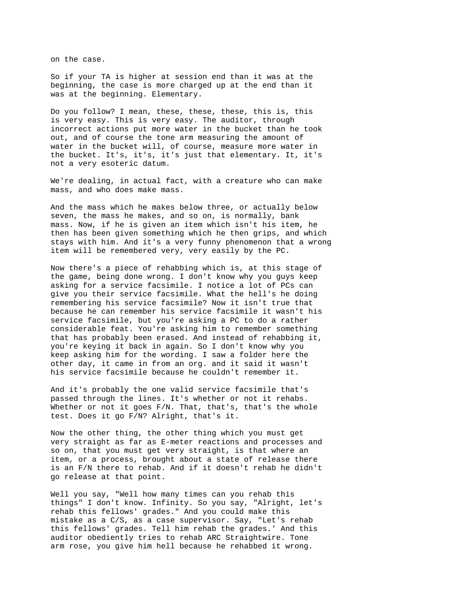on the case.

So if your TA is higher at session end than it was at the beginning, the case is more charged up at the end than it was at the beginning. Elementary.

Do you follow? I mean, these, these, these, this is, this is very easy. This is very easy. The auditor, through incorrect actions put more water in the bucket than he took out, and of course the tone arm measuring the amount of water in the bucket will, of course, measure more water in the bucket. It's, it's, it's just that elementary. It, it's not a very esoteric datum.

We're dealing, in actual fact, with a creature who can make mass, and who does make mass.

And the mass which he makes below three, or actually below seven, the mass he makes, and so on, is normally, bank mass. Now, if he is given an item which isn't his item, he then has been given something which he then grips, and which stays with him. And it's a very funny phenomenon that a wrong item will be remembered very, very easily by the PC.

Now there's a piece of rehabbing which is, at this stage of the game, being done wrong. I don't know why you guys keep asking for a service facsimile. I notice a lot of PCs can give you their service facsimile. What the hell's he doing remembering his service facsimile? Now it isn't true that because he can remember his service facsimile it wasn't his service facsimile, but you're asking a PC to do a rather considerable feat. You're asking him to remember something that has probably been erased. And instead of rehabbing it, you're keying it back in again. So I don't know why you keep asking him for the wording. I saw a folder here the other day, it came in from an org. and it said it wasn't his service facsimile because he couldn't remember it.

And it's probably the one valid service facsimile that's passed through the lines. It's whether or not it rehabs. Whether or not it goes  $F/N$ . That, that's, that's the whole test. Does it go F/N? Alright, that's it.

Now the other thing, the other thing which you must get very straight as far as E-meter reactions and processes and so on, that you must get very straight, is that where an item, or a process, brought about a state of release there is an F/N there to rehab. And if it doesn't rehab he didn't go release at that point.

Well you say, "Well how many times can you rehab this things" I don't know. Infinity. So you say, "Alright, let's rehab this fellows' grades." And you could make this mistake as a C/S, as a case supervisor. Say, "Let's rehab this fellows' grades. Tell him rehab the grades.' And this auditor obediently tries to rehab ARC Straightwire. Tone arm rose, you give him hell because he rehabbed it wrong.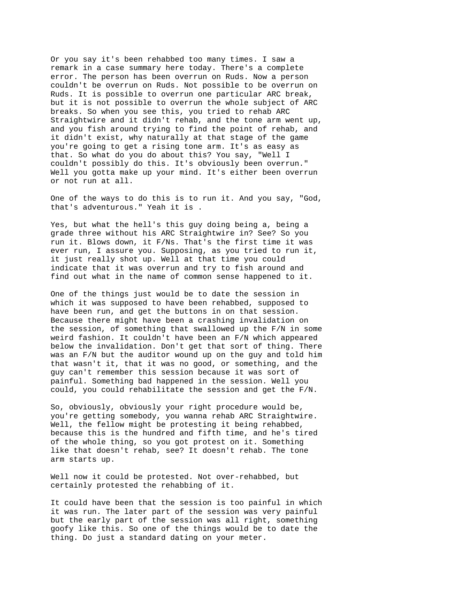Or you say it's been rehabbed too many times. I saw a remark in a case summary here today. There's a complete error. The person has been overrun on Ruds. Now a person couldn't be overrun on Ruds. Not possible to be overrun on Ruds. It is possible to overrun one particular ARC break, but it is not possible to overrun the whole subject of ARC breaks. So when you see this, you tried to rehab ARC Straightwire and it didn't rehab, and the tone arm went up, and you fish around trying to find the point of rehab, and it didn't exist, why naturally at that stage of the game you're going to get a rising tone arm. It's as easy as that. So what do you do about this? You say, "Well I couldn't possibly do this. It's obviously been overrun." Well you gotta make up your mind. It's either been overrun or not run at all.

One of the ways to do this is to run it. And you say, "God, that's adventurous." Yeah it is .

Yes, but what the hell's this guy doing being a, being a grade three without his ARC Straightwire in? See? So you run it. Blows down, it F/Ns. That's the first time it was ever run, I assure you. Supposing, as you tried to run it, it just really shot up. Well at that time you could indicate that it was overrun and try to fish around and find out what in the name of common sense happened to it.

One of the things just would be to date the session in which it was supposed to have been rehabbed, supposed to have been run, and get the buttons in on that session. Because there might have been a crashing invalidation on the session, of something that swallowed up the F/N in some weird fashion. It couldn't have been an F/N which appeared below the invalidation. Don't get that sort of thing. There was an F/N but the auditor wound up on the guy and told him that wasn't it, that it was no good, or something, and the guy can't remember this session because it was sort of painful. Something bad happened in the session. Well you could, you could rehabilitate the session and get the F/N.

So, obviously, obviously your right procedure would be, you're getting somebody, you wanna rehab ARC Straightwire. Well, the fellow might be protesting it being rehabbed, because this is the hundred and fifth time, and he's tired of the whole thing, so you got protest on it. Something like that doesn't rehab, see? It doesn't rehab. The tone arm starts up.

Well now it could be protested. Not over-rehabbed, but certainly protested the rehabbing of it.

It could have been that the session is too painful in which it was run. The later part of the session was very painful but the early part of the session was all right, something goofy like this. So one of the things would be to date the thing. Do just a standard dating on your meter.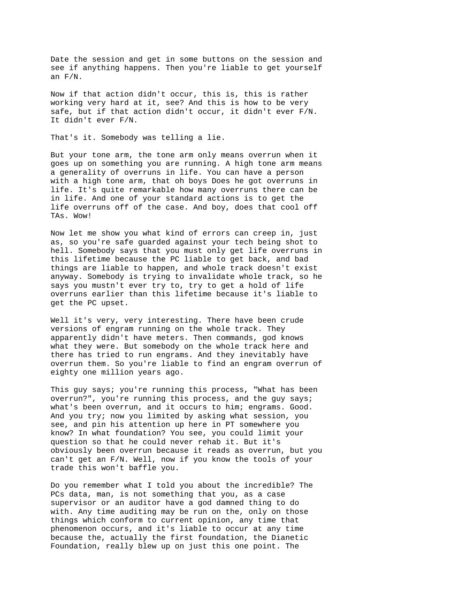Date the session and get in some buttons on the session and see if anything happens. Then you're liable to get yourself an F/N.

Now if that action didn't occur, this is, this is rather working very hard at it, see? And this is how to be very safe, but if that action didn't occur, it didn't ever F/N. It didn't ever F/N.

That's it. Somebody was telling a lie.

But your tone arm, the tone arm only means overrun when it goes up on something you are running. A high tone arm means a generality of overruns in life. You can have a person with a high tone arm, that oh boys Does he got overruns in life. It's quite remarkable how many overruns there can be in life. And one of your standard actions is to get the life overruns off of the case. And boy, does that cool off TAs. Wow!

Now let me show you what kind of errors can creep in, just as, so you're safe guarded against your tech being shot to hell. Somebody says that you must only get life overruns in this lifetime because the PC liable to get back, and bad things are liable to happen, and whole track doesn't exist anyway. Somebody is trying to invalidate whole track, so he says you mustn't ever try to, try to get a hold of life overruns earlier than this lifetime because it's liable to get the PC upset.

Well it's very, very interesting. There have been crude versions of engram running on the whole track. They apparently didn't have meters. Then commands, god knows what they were. But somebody on the whole track here and there has tried to run engrams. And they inevitably have overrun them. So you're liable to find an engram overrun of eighty one million years ago.

This guy says; you're running this process, "What has been overrun?", you're running this process, and the guy says; what's been overrun, and it occurs to him; engrams. Good. And you try; now you limited by asking what session, you see, and pin his attention up here in PT somewhere you know? In what foundation? You see, you could limit your question so that he could never rehab it. But it's obviously been overrun because it reads as overrun, but you can't get an F/N. Well, now if you know the tools of your trade this won't baffle you.

Do you remember what I told you about the incredible? The PCs data, man, is not something that you, as a case supervisor or an auditor have a god damned thing to do with. Any time auditing may be run on the, only on those things which conform to current opinion, any time that phenomenon occurs, and it's liable to occur at any time because the, actually the first foundation, the Dianetic Foundation, really blew up on just this one point. The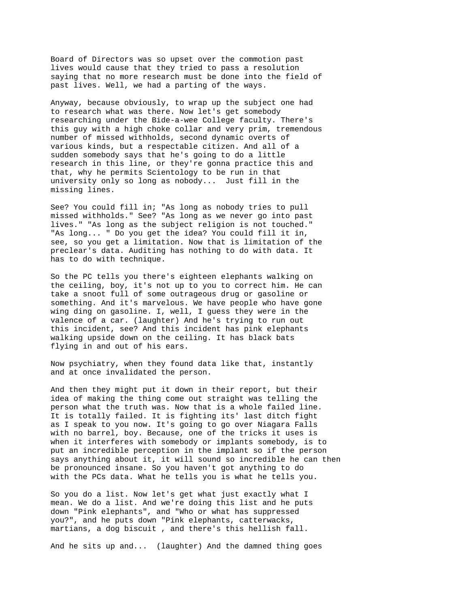Board of Directors was so upset over the commotion past lives would cause that they tried to pass a resolution saying that no more research must be done into the field of past lives. Well, we had a parting of the ways.

Anyway, because obviously, to wrap up the subject one had to research what was there. Now let's get somebody researching under the Bide-a-wee College faculty. There's this guy with a high choke collar and very prim, tremendous number of missed withholds, second dynamic overts of various kinds, but a respectable citizen. And all of a sudden somebody says that he's going to do a little research in this line, or they're gonna practice this and that, why he permits Scientology to be run in that university only so long as nobody... Just fill in the missing lines.

See? You could fill in; "As long as nobody tries to pull missed withholds." See? "As long as we never go into past lives." "As long as the subject religion is not touched." "As long... " Do you get the idea? You could fill it in, see, so you get a limitation. Now that is limitation of the preclear's data. Auditing has nothing to do with data. It has to do with technique.

So the PC tells you there's eighteen elephants walking on the ceiling, boy, it's not up to you to correct him. He can take a snoot full of some outrageous drug or gasoline or something. And it's marvelous. We have people who have gone wing ding on gasoline. I, well, I guess they were in the valence of a car. (laughter) And he's trying to run out this incident, see? And this incident has pink elephants walking upside down on the ceiling. It has black bats flying in and out of his ears.

Now psychiatry, when they found data like that, instantly and at once invalidated the person.

And then they might put it down in their report, but their idea of making the thing come out straight was telling the person what the truth was. Now that is a whole failed line. It is totally failed. It is fighting its' last ditch fight as I speak to you now. It's going to go over Niagara Falls with no barrel, boy. Because, one of the tricks it uses is when it interferes with somebody or implants somebody, is to put an incredible perception in the implant so if the person says anything about it, it will sound so incredible he can then be pronounced insane. So you haven't got anything to do with the PCs data. What he tells you is what he tells you.

So you do a list. Now let's get what just exactly what I mean. We do a list. And we're doing this list and he puts down "Pink elephants", and "Who or what has suppressed you?", and he puts down "Pink elephants, catterwacks, martians, a dog biscuit , and there's this hellish fall.

And he sits up and... (laughter) And the damned thing goes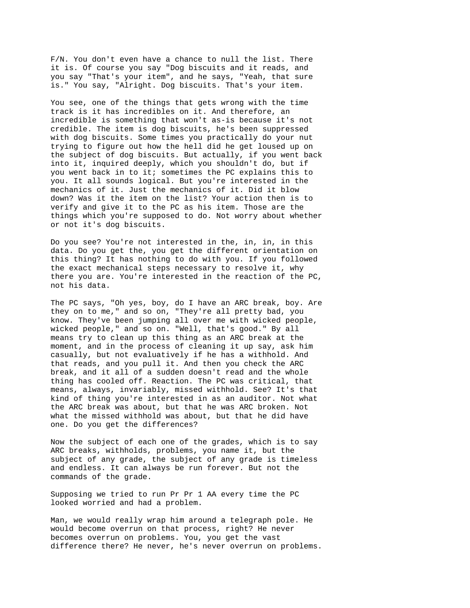F/N. You don't even have a chance to null the list. There it is. Of course you say "Dog biscuits and it reads, and you say "That's your item", and he says, "Yeah, that sure is." You say, "Alright. Dog biscuits. That's your item.

You see, one of the things that gets wrong with the time track is it has incredibles on it. And therefore, an incredible is something that won't as-is because it's not credible. The item is dog biscuits, he's been suppressed with dog biscuits. Some times you practically do your nut trying to figure out how the hell did he get loused up on the subject of dog biscuits. But actually, if you went back into it, inquired deeply, which you shouldn't do, but if you went back in to it; sometimes the PC explains this to you. It all sounds logical. But you're interested in the mechanics of it. Just the mechanics of it. Did it blow down? Was it the item on the list? Your action then is to verify and give it to the PC as his item. Those are the things which you're supposed to do. Not worry about whether or not it's dog biscuits.

Do you see? You're not interested in the, in, in, in this data. Do you get the, you get the different orientation on this thing? It has nothing to do with you. If you followed the exact mechanical steps necessary to resolve it, why there you are. You're interested in the reaction of the PC, not his data.

The PC says, "Oh yes, boy, do I have an ARC break, boy. Are they on to me," and so on, "They're all pretty bad, you know. They've been jumping all over me with wicked people, wicked people," and so on. "Well, that's good." By all means try to clean up this thing as an ARC break at the moment, and in the process of cleaning it up say, ask him casually, but not evaluatively if he has a withhold. And that reads, and you pull it. And then you check the ARC break, and it all of a sudden doesn't read and the whole thing has cooled off. Reaction. The PC was critical, that means, always, invariably, missed withhold. See? It's that kind of thing you're interested in as an auditor. Not what the ARC break was about, but that he was ARC broken. Not what the missed withhold was about, but that he did have one. Do you get the differences?

Now the subject of each one of the grades, which is to say ARC breaks, withholds, problems, you name it, but the subject of any grade, the subject of any grade is timeless and endless. It can always be run forever. But not the commands of the grade.

Supposing we tried to run Pr Pr 1 AA every time the PC looked worried and had a problem.

Man, we would really wrap him around a telegraph pole. He would become overrun on that process, right? He never becomes overrun on problems. You, you get the vast difference there? He never, he's never overrun on problems.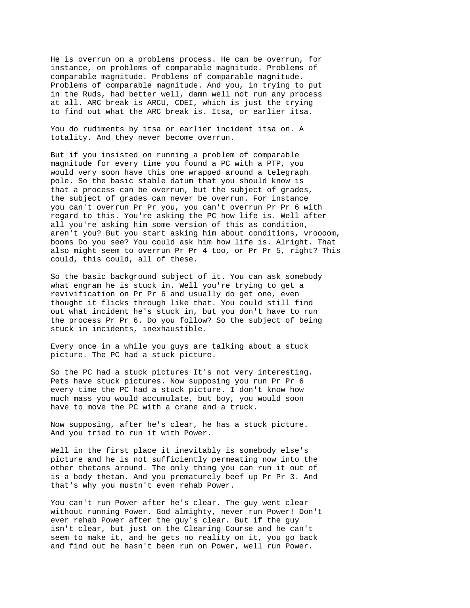He is overrun on a problems process. He can be overrun, for instance, on problems of comparable magnitude. Problems of comparable magnitude. Problems of comparable magnitude. Problems of comparable magnitude. And you, in trying to put in the Ruds, had better well, damn well not run any process at all. ARC break is ARCU, CDEI, which is just the trying to find out what the ARC break is. Itsa, or earlier itsa.

You do rudiments by itsa or earlier incident itsa on. A totality. And they never become overrun.

But if you insisted on running a problem of comparable magnitude for every time you found a PC with a PTP, you would very soon have this one wrapped around a telegraph pole. So the basic stable datum that you should know is that a process can be overrun, but the subject of grades, the subject of grades can never be overrun. For instance you can't overrun Pr Pr you, you can't overrun Pr Pr 6 with regard to this. You're asking the PC how life is. Well after all you're asking him some version of this as condition, aren't you? But you start asking him about conditions, vroooom, booms Do you see? You could ask him how life is. Alright. That also might seem to overrun Pr Pr 4 too, or Pr Pr 5, right? This could, this could, all of these.

So the basic background subject of it. You can ask somebody what engram he is stuck in. Well you're trying to get a revivification on Pr Pr 6 and usually do get one, even thought it flicks through like that. You could still find out what incident he's stuck in, but you don't have to run the process Pr Pr 6. Do you follow? So the subject of being stuck in incidents, inexhaustible.

Every once in a while you guys are talking about a stuck picture. The PC had a stuck picture.

So the PC had a stuck pictures It's not very interesting. Pets have stuck pictures. Now supposing you run Pr Pr 6 every time the PC had a stuck picture. I don't know how much mass you would accumulate, but boy, you would soon have to move the PC with a crane and a truck.

Now supposing, after he's clear, he has a stuck picture. And you tried to run it with Power.

Well in the first place it inevitably is somebody else's picture and he is not sufficiently permeating now into the other thetans around. The only thing you can run it out of is a body thetan. And you prematurely beef up Pr Pr 3. And that's why you mustn't even rehab Power.

You can't run Power after he's clear. The guy went clear without running Power. God almighty, never run Power! Don't ever rehab Power after the guy's clear. But if the guy isn't clear, but just on the Clearing Course and he can't seem to make it, and he gets no reality on it, you go back and find out he hasn't been run on Power, well run Power.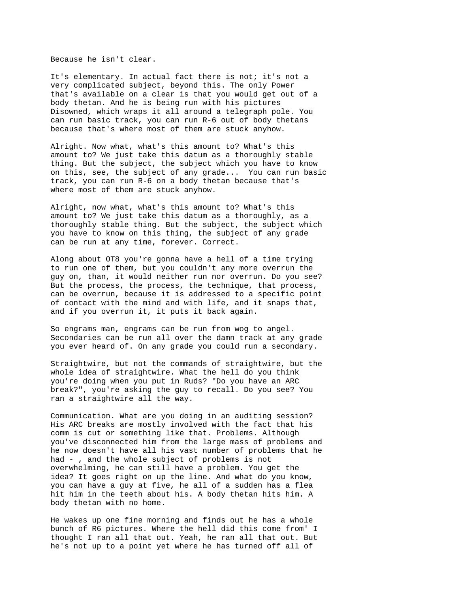Because he isn't clear.

It's elementary. In actual fact there is not; it's not a very complicated subject, beyond this. The only Power that's available on a clear is that you would get out of a body thetan. And he is being run with his pictures Disowned, which wraps it all around a telegraph pole. You can run basic track, you can run R-6 out of body thetans because that's where most of them are stuck anyhow.

Alright. Now what, what's this amount to? What's this amount to? We just take this datum as a thoroughly stable thing. But the subject, the subject which you have to know on this, see, the subject of any grade... You can run basic track, you can run R-6 on a body thetan because that's where most of them are stuck anyhow.

Alright, now what, what's this amount to? What's this amount to? We just take this datum as a thoroughly, as a thoroughly stable thing. But the subject, the subject which you have to know on this thing, the subject of any grade can be run at any time, forever. Correct.

Along about OT8 you're gonna have a hell of a time trying to run one of them, but you couldn't any more overrun the guy on, than, it would neither run nor overrun. Do you see? But the process, the process, the technique, that process, can be overrun, because it is addressed to a specific point of contact with the mind and with life, and it snaps that, and if you overrun it, it puts it back again.

So engrams man, engrams can be run from wog to angel. Secondaries can be run all over the damn track at any grade you ever heard of. On any grade you could run a secondary.

Straightwire, but not the commands of straightwire, but the whole idea of straightwire. What the hell do you think you're doing when you put in Ruds? "Do you have an ARC break?", you're asking the guy to recall. Do you see? You ran a straightwire all the way.

Communication. What are you doing in an auditing session? His ARC breaks are mostly involved with the fact that his comm is cut or something like that. Problems. Although you've disconnected him from the large mass of problems and he now doesn't have all his vast number of problems that he had - , and the whole subject of problems is not overwhelming, he can still have a problem. You get the idea? It goes right on up the line. And what do you know, you can have a guy at five, he all of a sudden has a flea hit him in the teeth about his. A body thetan hits him. A body thetan with no home.

He wakes up one fine morning and finds out he has a whole bunch of R6 pictures. Where the hell did this come from' I thought I ran all that out. Yeah, he ran all that out. But he's not up to a point yet where he has turned off all of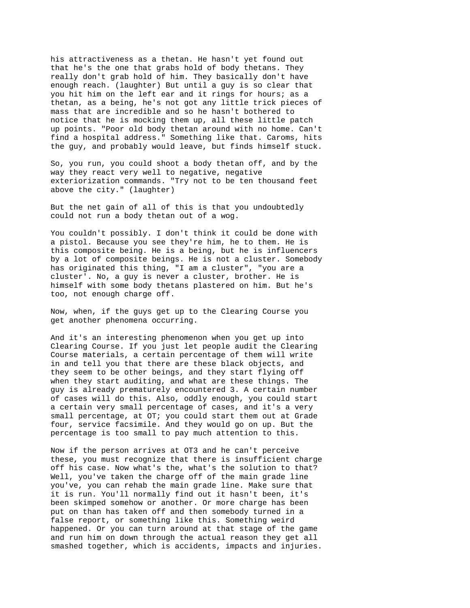his attractiveness as a thetan. He hasn't yet found out that he's the one that grabs hold of body thetans. They really don't grab hold of him. They basically don't have enough reach. (laughter) But until a guy is so clear that you hit him on the left ear and it rings for hours; as a thetan, as a being, he's not got any little trick pieces of mass that are incredible and so he hasn't bothered to notice that he is mocking them up, all these little patch up points. "Poor old body thetan around with no home. Can't find a hospital address." Something like that. Caroms, hits the guy, and probably would leave, but finds himself stuck.

So, you run, you could shoot a body thetan off, and by the way they react very well to negative, negative exteriorization commands. "Try not to be ten thousand feet above the city." (laughter)

But the net gain of all of this is that you undoubtedly could not run a body thetan out of a wog.

You couldn't possibly. I don't think it could be done with a pistol. Because you see they're him, he to them. He is this composite being. He is a being, but he is influencers by a lot of composite beings. He is not a cluster. Somebody has originated this thing, "I am a cluster", "you are a cluster'. No, a guy is never a cluster, brother. He is himself with some body thetans plastered on him. But he's too, not enough charge off.

Now, when, if the guys get up to the Clearing Course you get another phenomena occurring.

And it's an interesting phenomenon when you get up into Clearing Course. If you just let people audit the Clearing Course materials, a certain percentage of them will write in and tell you that there are these black objects, and they seem to be other beings, and they start flying off when they start auditing, and what are these things. The guy is already prematurely encountered 3. A certain number of cases will do this. Also, oddly enough, you could start a certain very small percentage of cases, and it's a very small percentage, at OT; you could start them out at Grade four, service facsimile. And they would go on up. But the percentage is too small to pay much attention to this.

Now if the person arrives at OT3 and he can't perceive these, you must recognize that there is insufficient charge off his case. Now what's the, what's the solution to that? Well, you've taken the charge off of the main grade line you've, you can rehab the main grade line. Make sure that it is run. You'll normally find out it hasn't been, it's been skimped somehow or another. Or more charge has been put on than has taken off and then somebody turned in a false report, or something like this. Something weird happened. Or you can turn around at that stage of the game and run him on down through the actual reason they get all smashed together, which is accidents, impacts and injuries.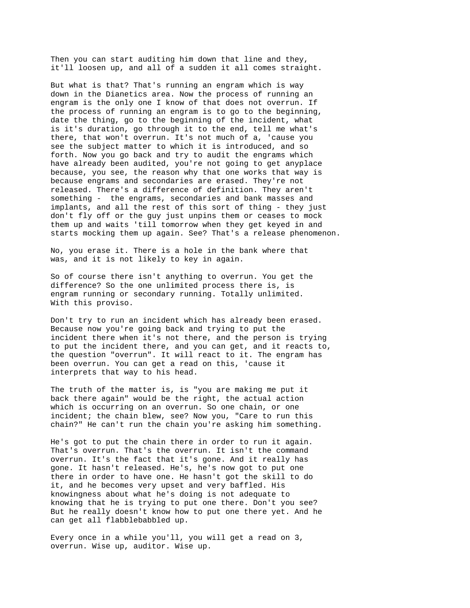Then you can start auditing him down that line and they, it'll loosen up, and all of a sudden it all comes straight.

But what is that? That's running an engram which is way down in the Dianetics area. Now the process of running an engram is the only one I know of that does not overrun. If the process of running an engram is to go to the beginning, date the thing, go to the beginning of the incident, what is it's duration, go through it to the end, tell me what's there, that won't overrun. It's not much of a, 'cause you see the subject matter to which it is introduced, and so forth. Now you go back and try to audit the engrams which have already been audited, you're not going to get anyplace because, you see, the reason why that one works that way is because engrams and secondaries are erased. They're not released. There's a difference of definition. They aren't something - the engrams, secondaries and bank masses and implants, and all the rest of this sort of thing - they just don't fly off or the guy just unpins them or ceases to mock them up and waits 'till tomorrow when they get keyed in and starts mocking them up again. See? That's a release phenomenon.

No, you erase it. There is a hole in the bank where that was, and it is not likely to key in again.

So of course there isn't anything to overrun. You get the difference? So the one unlimited process there is, is engram running or secondary running. Totally unlimited. With this proviso.

Don't try to run an incident which has already been erased. Because now you're going back and trying to put the incident there when it's not there, and the person is trying to put the incident there, and you can get, and it reacts to, the question "overrun". It will react to it. The engram has been overrun. You can get a read on this, 'cause it interprets that way to his head.

The truth of the matter is, is "you are making me put it back there again" would be the right, the actual action which is occurring on an overrun. So one chain, or one incident; the chain blew, see? Now you, "Care to run this chain?" He can't run the chain you're asking him something.

He's got to put the chain there in order to run it again. That's overrun. That's the overrun. It isn't the command overrun. It's the fact that it's gone. And it really has gone. It hasn't released. He's, he's now got to put one there in order to have one. He hasn't got the skill to do it, and he becomes very upset and very baffled. His knowingness about what he's doing is not adequate to knowing that he is trying to put one there. Don't you see? But he really doesn't know how to put one there yet. And he can get all flabblebabbled up.

Every once in a while you'll, you will get a read on 3, overrun. Wise up, auditor. Wise up.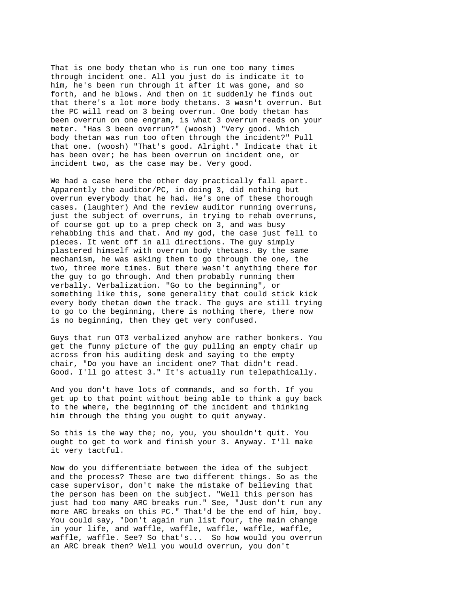That is one body thetan who is run one too many times through incident one. All you just do is indicate it to him, he's been run through it after it was gone, and so forth, and he blows. And then on it suddenly he finds out that there's a lot more body thetans. 3 wasn't overrun. But the PC will read on 3 being overrun. One body thetan has been overrun on one engram, is what 3 overrun reads on your meter. "Has 3 been overrun?" (woosh) "Very good. Which body thetan was run too often through the incident?" Pull that one. (woosh) "That's good. Alright." Indicate that it has been over; he has been overrun on incident one, or incident two, as the case may be. Very good.

We had a case here the other day practically fall apart. Apparently the auditor/PC, in doing 3, did nothing but overrun everybody that he had. He's one of these thorough cases. (laughter) And the review auditor running overruns, just the subject of overruns, in trying to rehab overruns, of course got up to a prep check on 3, and was busy rehabbing this and that. And my god, the case just fell to pieces. It went off in all directions. The guy simply plastered himself with overrun body thetans. By the same mechanism, he was asking them to go through the one, the two, three more times. But there wasn't anything there for the guy to go through. And then probably running them verbally. Verbalization. "Go to the beginning", or something like this, some generality that could stick kick every body thetan down the track. The guys are still trying to go to the beginning, there is nothing there, there now is no beginning, then they get very confused.

Guys that run OT3 verbalized anyhow are rather bonkers. You get the funny picture of the guy pulling an empty chair up across from his auditing desk and saying to the empty chair, "Do you have an incident one? That didn't read. Good. I'll go attest 3." It's actually run telepathically.

And you don't have lots of commands, and so forth. If you get up to that point without being able to think a guy back to the where, the beginning of the incident and thinking him through the thing you ought to quit anyway.

So this is the way the; no, you, you shouldn't quit. You ought to get to work and finish your 3. Anyway. I'll make it very tactful.

Now do you differentiate between the idea of the subject and the process? These are two different things. So as the case supervisor, don't make the mistake of believing that the person has been on the subject. "Well this person has just had too many ARC breaks run." See, "Just don't run any more ARC breaks on this PC." That'd be the end of him, boy. You could say, "Don't again run list four, the main change in your life, and waffle, waffle, waffle, waffle, waffle, waffle, waffle. See? So that's... So how would you overrun an ARC break then? Well you would overrun, you don't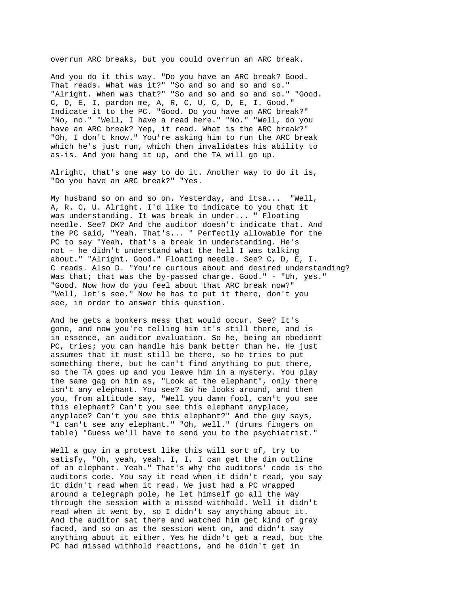overrun ARC breaks, but you could overrun an ARC break.

And you do it this way. "Do you have an ARC break? Good. That reads. What was it?" "So and so and so and so." "Alright. When was that?" "So and so and so and so." "Good. C, D, E, I, pardon me, A, R, C, U, C, D, E, I. Good." Indicate it to the PC. "Good. Do you have an ARC break?" "No, no." "Well, I have a read here." "No." "Well, do you have an ARC break? Yep, it read. What is the ARC break?" "Oh, I don't know." You're asking him to run the ARC break which he's just run, which then invalidates his ability to as-is. And you hang it up, and the TA will go up.

Alright, that's one way to do it. Another way to do it is, "Do you have an ARC break?" "Yes.

My husband so on and so on. Yesterday, and itsa... "Well, A, R. C, U. Alright. I'd like to indicate to you that it was understanding. It was break in under... " Floating needle. See? OK? And the auditor doesn't indicate that. And the PC said, "Yeah. That's... " Perfectly allowable for the PC to say "Yeah, that's a break in understanding. He's not - he didn't understand what the hell I was talking about." "Alright. Good." Floating needle. See? C, D, E, I. C reads. Also D. "You're curious about and desired understanding? Was that; that was the by-passed charge. Good." - "Uh, yes." "Good. Now how do you feel about that ARC break now?" "Well, let's see." Now he has to put it there, don't you see, in order to answer this question.

And he gets a bonkers mess that would occur. See? It's gone, and now you're telling him it's still there, and is in essence, an auditor evaluation. So he, being an obedient PC, tries; you can handle his bank better than he. He just assumes that it must still be there, so he tries to put something there, but he can't find anything to put there, so the TA goes up and you leave him in a mystery. You play the same gag on him as, "Look at the elephant", only there isn't any elephant. You see? So he looks around, and then you, from altitude say, "Well you damn fool, can't you see this elephant? Can't you see this elephant anyplace, anyplace? Can't you see this elephant?" And the guy says, "I can't see any elephant." "Oh, well." (drums fingers on table) "Guess we'll have to send you to the psychiatrist."

Well a guy in a protest like this will sort of, try to satisfy, "Oh, yeah, yeah. I, I, I can get the dim outline of an elephant. Yeah." That's why the auditors' code is the auditors code. You say it read when it didn't read, you say it didn't read when it read. We just had a PC wrapped around a telegraph pole, he let himself go all the way through the session with a missed withhold. Well it didn't read when it went by, so I didn't say anything about it. And the auditor sat there and watched him get kind of gray faced, and so on as the session went on, and didn't say anything about it either. Yes he didn't get a read, but the PC had missed withhold reactions, and he didn't get in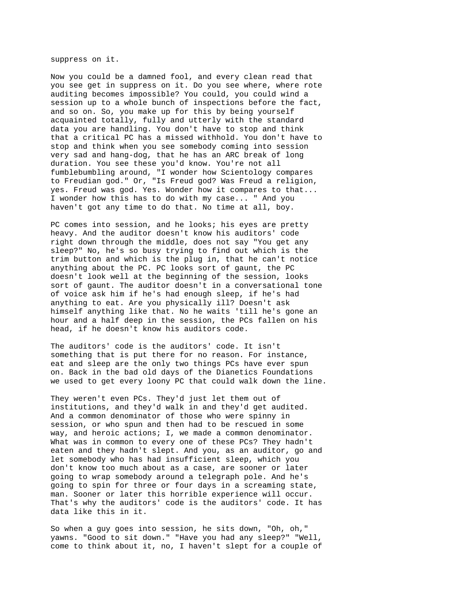suppress on it.

Now you could be a damned fool, and every clean read that you see get in suppress on it. Do you see where, where rote auditing becomes impossible? You could, you could wind a session up to a whole bunch of inspections before the fact, and so on. So, you make up for this by being yourself acquainted totally, fully and utterly with the standard data you are handling. You don't have to stop and think that a critical PC has a missed withhold. You don't have to stop and think when you see somebody coming into session very sad and hang-dog, that he has an ARC break of long duration. You see these you'd know. You're not all fumblebumbling around, "I wonder how Scientology compares to Freudian god." Or, "Is Freud god? Was Freud a religion, yes. Freud was god. Yes. Wonder how it compares to that... I wonder how this has to do with my case... " And you haven't got any time to do that. No time at all, boy.

PC comes into session, and he looks; his eyes are pretty heavy. And the auditor doesn't know his auditors' code right down through the middle, does not say "You get any sleep?" No, he's so busy trying to find out which is the trim button and which is the plug in, that he can't notice anything about the PC. PC looks sort of gaunt, the PC doesn't look well at the beginning of the session, looks sort of gaunt. The auditor doesn't in a conversational tone of voice ask him if he's had enough sleep, if he's had anything to eat. Are you physically ill? Doesn't ask himself anything like that. No he waits 'till he's gone an hour and a half deep in the session, the PCs fallen on his head, if he doesn't know his auditors code.

The auditors' code is the auditors' code. It isn't something that is put there for no reason. For instance, eat and sleep are the only two things PCs have ever spun on. Back in the bad old days of the Dianetics Foundations we used to get every loony PC that could walk down the line.

They weren't even PCs. They'd just let them out of institutions, and they'd walk in and they'd get audited. And a common denominator of those who were spinny in session, or who spun and then had to be rescued in some way, and heroic actions; I, we made a common denominator. What was in common to every one of these PCs? They hadn't eaten and they hadn't slept. And you, as an auditor, go and let somebody who has had insufficient sleep, which you don't know too much about as a case, are sooner or later going to wrap somebody around a telegraph pole. And he's going to spin for three or four days in a screaming state, man. Sooner or later this horrible experience will occur. That's why the auditors' code is the auditors' code. It has data like this in it.

So when a guy goes into session, he sits down, "Oh, oh," yawns. "Good to sit down." "Have you had any sleep?" "Well, come to think about it, no, I haven't slept for a couple of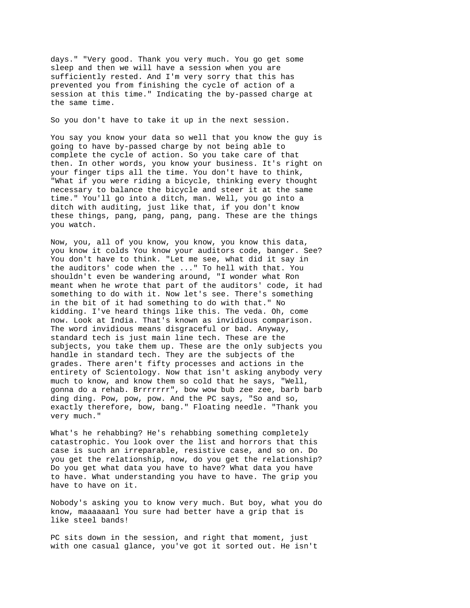days." "Very good. Thank you very much. You go get some sleep and then we will have a session when you are sufficiently rested. And I'm very sorry that this has prevented you from finishing the cycle of action of a session at this time." Indicating the by-passed charge at the same time.

So you don't have to take it up in the next session.

You say you know your data so well that you know the guy is going to have by-passed charge by not being able to complete the cycle of action. So you take care of that then. In other words, you know your business. It's right on your finger tips all the time. You don't have to think, "What if you were riding a bicycle, thinking every thought necessary to balance the bicycle and steer it at the same time." You'll go into a ditch, man. Well, you go into a ditch with auditing, just like that, if you don't know these things, pang, pang, pang, pang. These are the things you watch.

Now, you, all of you know, you know, you know this data, you know it colds You know your auditors code, banger. See? You don't have to think. "Let me see, what did it say in the auditors' code when the ..." To hell with that. You shouldn't even be wandering around, "I wonder what Ron meant when he wrote that part of the auditors' code, it had something to do with it. Now let's see. There's something in the bit of it had something to do with that." No kidding. I've heard things like this. The veda. Oh, come now. Look at India. That's known as invidious comparison. The word invidious means disgraceful or bad. Anyway, standard tech is just main line tech. These are the subjects, you take them up. These are the only subjects you handle in standard tech. They are the subjects of the grades. There aren't fifty processes and actions in the entirety of Scientology. Now that isn't asking anybody very much to know, and know them so cold that he says, "Well, gonna do a rehab. Brrrrrrr", bow wow bub zee zee, barb barb ding ding. Pow, pow, pow. And the PC says, "So and so, exactly therefore, bow, bang." Floating needle. "Thank you very much."

What's he rehabbing? He's rehabbing something completely catastrophic. You look over the list and horrors that this case is such an irreparable, resistive case, and so on. Do you get the relationship, now, do you get the relationship? Do you get what data you have to have? What data you have to have. What understanding you have to have. The grip you have to have on it.

Nobody's asking you to know very much. But boy, what you do know, maaaaaanl You sure had better have a grip that is like steel bands!

PC sits down in the session, and right that moment, just with one casual glance, you've got it sorted out. He isn't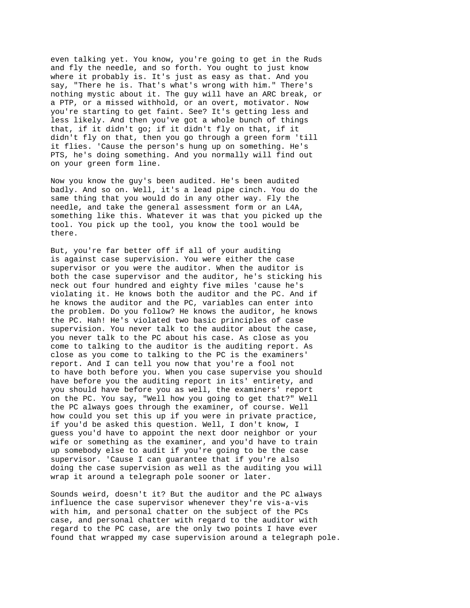even talking yet. You know, you're going to get in the Ruds and fly the needle, and so forth. You ought to just know where it probably is. It's just as easy as that. And you say, "There he is. That's what's wrong with him." There's nothing mystic about it. The guy will have an ARC break, or a PTP, or a missed withhold, or an overt, motivator. Now you're starting to get faint. See? It's getting less and less likely. And then you've got a whole bunch of things that, if it didn't go; if it didn't fly on that, if it didn't fly on that, then you go through a green form 'till it flies. 'Cause the person's hung up on something. He's PTS, he's doing something. And you normally will find out on your green form line.

Now you know the guy's been audited. He's been audited badly. And so on. Well, it's a lead pipe cinch. You do the same thing that you would do in any other way. Fly the needle, and take the general assessment form or an L4A, something like this. Whatever it was that you picked up the tool. You pick up the tool, you know the tool would be there.

But, you're far better off if all of your auditing is against case supervision. You were either the case supervisor or you were the auditor. When the auditor is both the case supervisor and the auditor, he's sticking his neck out four hundred and eighty five miles 'cause he's violating it. He knows both the auditor and the PC. And if he knows the auditor and the PC, variables can enter into the problem. Do you follow? He knows the auditor, he knows the PC. Hah! He's violated two basic principles of case supervision. You never talk to the auditor about the case, you never talk to the PC about his case. As close as you come to talking to the auditor is the auditing report. As close as you come to talking to the PC is the examiners' report. And I can tell you now that you're a fool not to have both before you. When you case supervise you should have before you the auditing report in its' entirety, and you should have before you as well, the examiners' report on the PC. You say, "Well how you going to get that?" Well the PC always goes through the examiner, of course. Well how could you set this up if you were in private practice, if you'd be asked this question. Well, I don't know, I guess you'd have to appoint the next door neighbor or your wife or something as the examiner, and you'd have to train up somebody else to audit if you're going to be the case supervisor. 'Cause I can guarantee that if you're also doing the case supervision as well as the auditing you will wrap it around a telegraph pole sooner or later.

Sounds weird, doesn't it? But the auditor and the PC always influence the case supervisor whenever they're vis-a-vis with him, and personal chatter on the subject of the PCs case, and personal chatter with regard to the auditor with regard to the PC case, are the only two points I have ever found that wrapped my case supervision around a telegraph pole.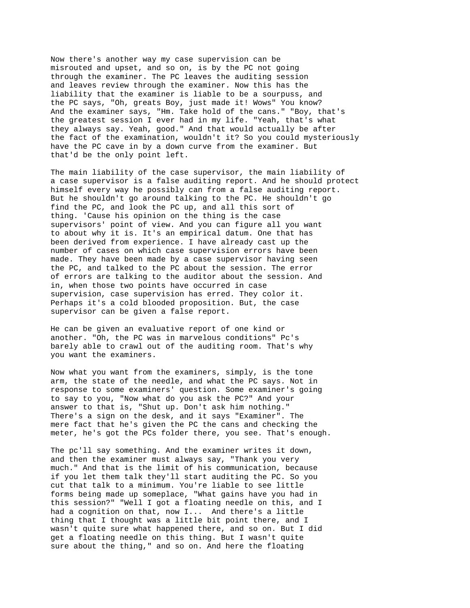Now there's another way my case supervision can be misrouted and upset, and so on, is by the PC not going through the examiner. The PC leaves the auditing session and leaves review through the examiner. Now this has the liability that the examiner is liable to be a sourpuss, and the PC says, "Oh, greats Boy, just made it! Wows" You know? And the examiner says, "Hm. Take hold of the cans." "Boy, that's the greatest session I ever had in my life. "Yeah, that's what they always say. Yeah, good." And that would actually be after the fact of the examination, wouldn't it? So you could mysteriously have the PC cave in by a down curve from the examiner. But that'd be the only point left.

The main liability of the case supervisor, the main liability of a case supervisor is a false auditing report. And he should protect himself every way he possibly can from a false auditing report. But he shouldn't go around talking to the PC. He shouldn't go find the PC, and look the PC up, and all this sort of thing. 'Cause his opinion on the thing is the case supervisors' point of view. And you can figure all you want to about why it is. It's an empirical datum. One that has been derived from experience. I have already cast up the number of cases on which case supervision errors have been made. They have been made by a case supervisor having seen the PC, and talked to the PC about the session. The error of errors are talking to the auditor about the session. And in, when those two points have occurred in case supervision, case supervision has erred. They color it. Perhaps it's a cold blooded proposition. But, the case supervisor can be given a false report.

He can be given an evaluative report of one kind or another. "Oh, the PC was in marvelous conditions" Pc's barely able to crawl out of the auditing room. That's why you want the examiners.

Now what you want from the examiners, simply, is the tone arm, the state of the needle, and what the PC says. Not in response to some examiners' question. Some examiner's going to say to you, "Now what do you ask the PC?" And your answer to that is, "Shut up. Don't ask him nothing." There's a sign on the desk, and it says "Examiner". The mere fact that he's given the PC the cans and checking the meter, he's got the PCs folder there, you see. That's enough.

The pc'll say something. And the examiner writes it down, and then the examiner must always say, "Thank you very much." And that is the limit of his communication, because if you let them talk they'll start auditing the PC. So you cut that talk to a minimum. You're liable to see little forms being made up someplace, "What gains have you had in this session?" "Well I got a floating needle on this, and I had a cognition on that, now I... And there's a little thing that I thought was a little bit point there, and I wasn't quite sure what happened there, and so on. But I did get a floating needle on this thing. But I wasn't quite sure about the thing," and so on. And here the floating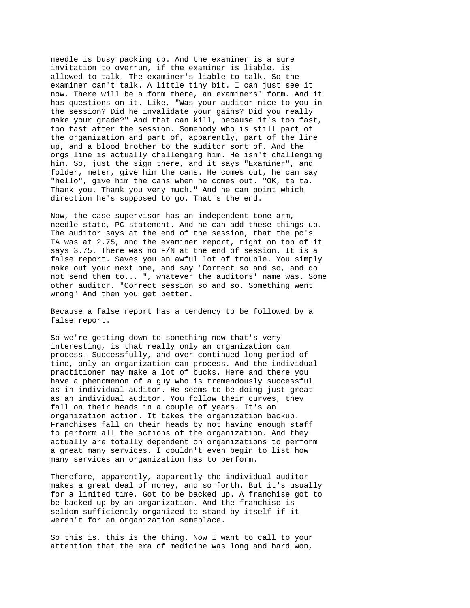needle is busy packing up. And the examiner is a sure invitation to overrun, if the examiner is liable, is allowed to talk. The examiner's liable to talk. So the examiner can't talk. A little tiny bit. I can just see it now. There will be a form there, an examiners' form. And it has questions on it. Like, "Was your auditor nice to you in the session? Did he invalidate your gains? Did you really make your grade?" And that can kill, because it's too fast, too fast after the session. Somebody who is still part of the organization and part of, apparently, part of the line up, and a blood brother to the auditor sort of. And the orgs line is actually challenging him. He isn't challenging him. So, just the sign there, and it says "Examiner", and folder, meter, give him the cans. He comes out, he can say "hello", give him the cans when he comes out. "OK, ta ta. Thank you. Thank you very much." And he can point which direction he's supposed to go. That's the end.

Now, the case supervisor has an independent tone arm, needle state, PC statement. And he can add these things up. The auditor says at the end of the session, that the pc's TA was at 2.75, and the examiner report, right on top of it says 3.75. There was no F/N at the end of session. It is a false report. Saves you an awful lot of trouble. You simply make out your next one, and say "Correct so and so, and do not send them to... ", whatever the auditors' name was. Some other auditor. "Correct session so and so. Something went wrong" And then you get better.

Because a false report has a tendency to be followed by a false report.

So we're getting down to something now that's very interesting, is that really only an organization can process. Successfully, and over continued long period of time, only an organization can process. And the individual practitioner may make a lot of bucks. Here and there you have a phenomenon of a guy who is tremendously successful as in individual auditor. He seems to be doing just great as an individual auditor. You follow their curves, they fall on their heads in a couple of years. It's an organization action. It takes the organization backup. Franchises fall on their heads by not having enough staff to perform all the actions of the organization. And they actually are totally dependent on organizations to perform a great many services. I couldn't even begin to list how many services an organization has to perform.

Therefore, apparently, apparently the individual auditor makes a great deal of money, and so forth. But it's usually for a limited time. Got to be backed up. A franchise got to be backed up by an organization. And the franchise is seldom sufficiently organized to stand by itself if it weren't for an organization someplace.

So this is, this is the thing. Now I want to call to your attention that the era of medicine was long and hard won,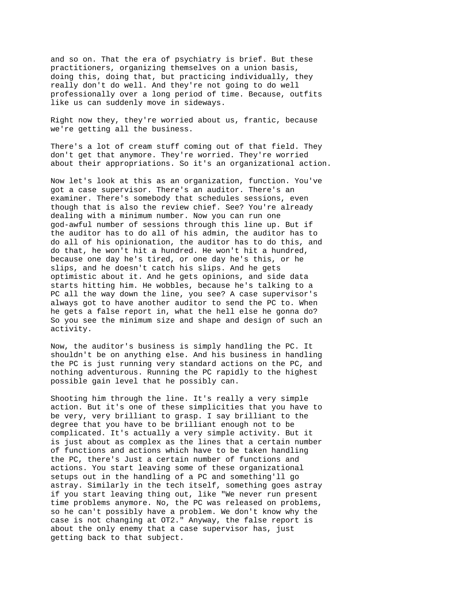and so on. That the era of psychiatry is brief. But these practitioners, organizing themselves on a union basis, doing this, doing that, but practicing individually, they really don't do well. And they're not going to do well professionally over a long period of time. Because, outfits like us can suddenly move in sideways.

Right now they, they're worried about us, frantic, because we're getting all the business.

There's a lot of cream stuff coming out of that field. They don't get that anymore. They're worried. They're worried about their appropriations. So it's an organizational action.

Now let's look at this as an organization, function. You've got a case supervisor. There's an auditor. There's an examiner. There's somebody that schedules sessions, even though that is also the review chief. See? You're already dealing with a minimum number. Now you can run one god-awful number of sessions through this line up. But if the auditor has to do all of his admin, the auditor has to do all of his opinionation, the auditor has to do this, and do that, he won't hit a hundred. He won't hit a hundred, because one day he's tired, or one day he's this, or he slips, and he doesn't catch his slips. And he gets optimistic about it. And he gets opinions, and side data starts hitting him. He wobbles, because he's talking to a PC all the way down the line, you see? A case supervisor's always got to have another auditor to send the PC to. When he gets a false report in, what the hell else he gonna do? So you see the minimum size and shape and design of such an activity.

Now, the auditor's business is simply handling the PC. It shouldn't be on anything else. And his business in handling the PC is just running very standard actions on the PC, and nothing adventurous. Running the PC rapidly to the highest possible gain level that he possibly can.

Shooting him through the line. It's really a very simple action. But it's one of these simplicities that you have to be very, very brilliant to grasp. I say brilliant to the degree that you have to be brilliant enough not to be complicated. It's actually a very simple activity. But it is just about as complex as the lines that a certain number of functions and actions which have to be taken handling the PC, there's Just a certain number of functions and actions. You start leaving some of these organizational setups out in the handling of a PC and something'll go astray. Similarly in the tech itself, something goes astray if you start leaving thing out, like "We never run present time problems anymore. No, the PC was released on problems, so he can't possibly have a problem. We don't know why the case is not changing at OT2." Anyway, the false report is about the only enemy that a case supervisor has, just getting back to that subject.